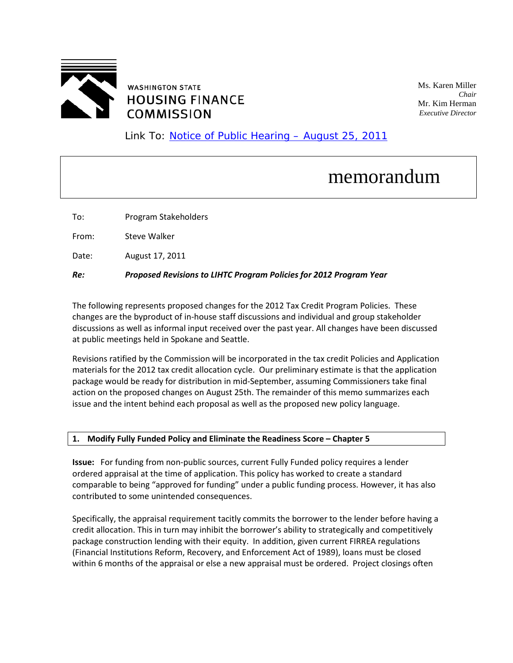

Ms. Karen Miller *Chair* Mr. Kim Herman *Executive Director*

Link To: [Notice of Public Hearing – August](http://www.wshfc.org/tax-credits/nph.pdf) 25, 2011

# memorandum

To: Program Stakeholders

From: Steve Walker

Date: August 17, 201<sup>1</sup>

*Re: Proposed Revisions to LIHTC Program Policies for 2012 Program Year*

The following represents proposed changes for the 2012 Tax Credit Program Policies. These changes are the byproduct of in-house staff discussions and individual and group stakeholder discussions as well as informal input received over the past year. All changes have been discussed at public meetings held in Spokane and Seattle.

Revisions ratified by the Commission will be incorporated in the tax credit Policies and Application materials for the 2012 tax credit allocation cycle. Our preliminary estimate is that the application package would be ready for distribution in mid-September, assuming Commissioners take final action on the proposed changes on August 25th. The remainder of this memo summarizes each issue and the intent behind each proposal as well as the proposed new policy language.

## **1. Modify Fully Funded Policy and Eliminate the Readiness Score – Chapter 5**

**Issue:** For funding from non-public sources, current Fully Funded policy requires a lender ordered appraisal at the time of application. This policy has worked to create a standard comparable to being "approved for funding" under a public funding process. However, it has also contributed to some unintended consequences.

Specifically, the appraisal requirement tacitly commits the borrower to the lender before having a credit allocation. This in turn may inhibit the borrower's ability to strategically and competitively package construction lending with their equity. In addition, given current FIRREA regulations (Financial Institutions Reform, Recovery, and Enforcement Act of 1989), loans must be closed within 6 months of the appraisal or else a new appraisal must be ordered. Project closings often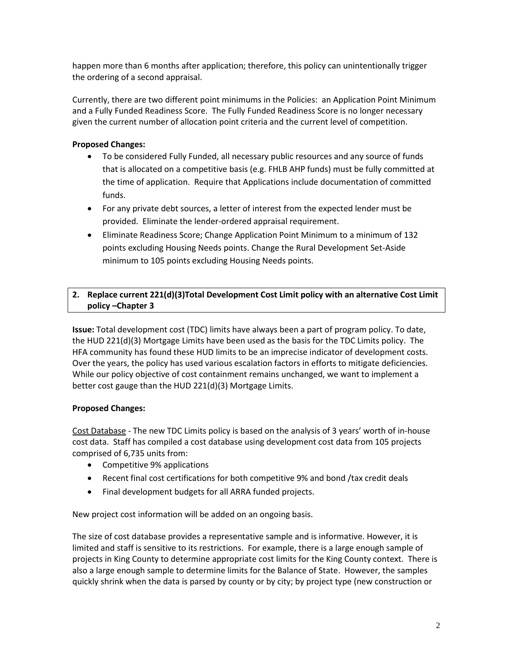happen more than 6 months after application; therefore, this policy can unintentionally trigger the ordering of a second appraisal.

Currently, there are two different point minimums in the Policies: an Application Point Minimum and a Fully Funded Readiness Score. The Fully Funded Readiness Score is no longer necessary given the current number of allocation point criteria and the current level of competition.

# **Proposed Changes:**

- To be considered Fully Funded, all necessary public resources and any source of funds that is allocated on a competitive basis (e.g. FHLB AHP funds) must be fully committed at the time of application. Require that Applications include documentation of committed funds.
- For any private debt sources, a letter of interest from the expected lender must be provided. Eliminate the lender-ordered appraisal requirement.
- Eliminate Readiness Score; Change Application Point Minimum to a minimum of 132 points excluding Housing Needs points. Change the Rural Development Set-Aside minimum to 105 points excluding Housing Needs points.

# **2. Replace current 221(d)(3)Total Development Cost Limit policy with an alternative Cost Limit policy –Chapter 3**

**Issue:** Total development cost (TDC) limits have always been a part of program policy. To date, the HUD 221(d)(3) Mortgage Limits have been used as the basis for the TDC Limits policy. The HFA community has found these HUD limits to be an imprecise indicator of development costs. Over the years, the policy has used various escalation factors in efforts to mitigate deficiencies. While our policy objective of cost containment remains unchanged, we want to implement a better cost gauge than the HUD 221(d)(3) Mortgage Limits.

## **Proposed Changes:**

Cost Database - The new TDC Limits policy is based on the analysis of 3 years' worth of in-house cost data. Staff has compiled a cost database using development cost data from 105 projects comprised of 6,735 units from:

- Competitive 9% applications
- Recent final cost certifications for both competitive 9% and bond /tax credit deals
- Final development budgets for all ARRA funded projects.

New project cost information will be added on an ongoing basis.

The size of cost database provides a representative sample and is informative. However, it is limited and staff is sensitive to its restrictions. For example, there is a large enough sample of projects in King County to determine appropriate cost limits for the King County context. There is also a large enough sample to determine limits for the Balance of State. However, the samples quickly shrink when the data is parsed by county or by city; by project type (new construction or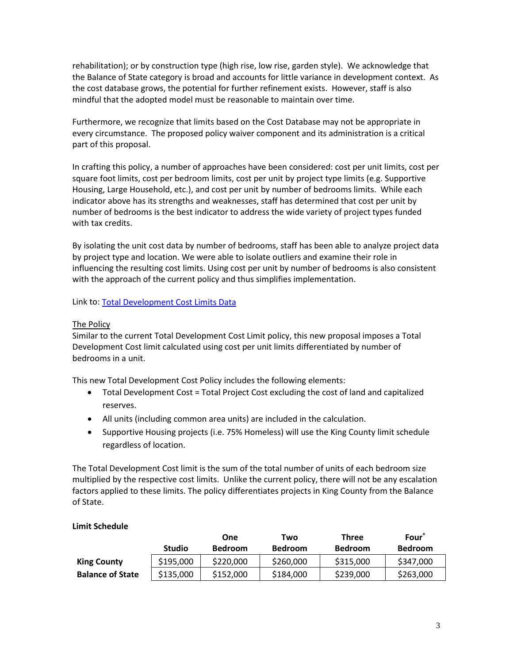rehabilitation); or by construction type (high rise, low rise, garden style). We acknowledge that the Balance of State category is broad and accounts for little variance in development context. As the cost database grows, the potential for further refinement exists. However, staff is also mindful that the adopted model must be reasonable to maintain over time.

Furthermore, we recognize that limits based on the Cost Database may not be appropriate in every circumstance. The proposed policy waiver component and its administration is a critical part of this proposal.

In crafting this policy, a number of approaches have been considered: cost per unit limits, cost per square foot limits, cost per bedroom limits, cost per unit by project type limits (e.g. Supportive Housing, Large Household, etc.), and cost per unit by number of bedrooms limits. While each indicator above has its strengths and weaknesses, staff has determined that cost per unit by number of bedrooms is the best indicator to address the wide variety of project types funded with tax credits.

By isolating the unit cost data by number of bedrooms, staff has been able to analyze project data by project type and location. We were able to isolate outliers and examine their role in influencing the resulting cost limits. Using cost per unit by number of bedrooms is also consistent with the approach of the current policy and thus simplifies implementation.

Link to[: Total Development Cost Limits Data](http://www.wshfc.org/tax-credits/TotalDevelopmentCostLimitsData.xls) 

## The Policy

Similar to the current Total Development Cost Limit policy, this new proposal imposes a Total Development Cost limit calculated using cost per unit limits differentiated by number of bedrooms in a unit.

This new Total Development Cost Policy includes the following elements:

- Total Development Cost = Total Project Cost excluding the cost of land and capitalized reserves.
- All units (including common area units) are included in the calculation.
- Supportive Housing projects (i.e. 75% Homeless) will use the King County limit schedule regardless of location.

The Total Development Cost limit is the sum of the total number of units of each bedroom size multiplied by the respective cost limits. Unlike the current policy, there will not be any escalation factors applied to these limits. The policy differentiates projects in King County from the Balance of State.

|                         |               | <b>One</b>     | Two            | <b>Three</b>   | Four <sup>+</sup> |
|-------------------------|---------------|----------------|----------------|----------------|-------------------|
|                         | <b>Studio</b> | <b>Bedroom</b> | <b>Bedroom</b> | <b>Bedroom</b> | <b>Bedroom</b>    |
| <b>King County</b>      | \$195,000     | \$220,000      | \$260,000      | \$315,000      | \$347,000         |
| <b>Balance of State</b> | \$135,000     | \$152,000      | \$184,000      | \$239,000      | \$263,000         |

## **Limit Schedule**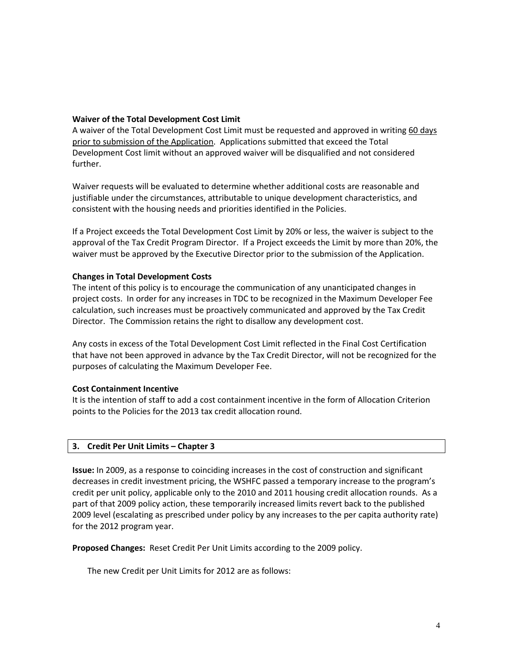### **Waiver of the Total Development Cost Limit**

A waiver of the Total Development Cost Limit must be requested and approved in writing 60 days prior to submission of the Application. Applications submitted that exceed the Total Development Cost limit without an approved waiver will be disqualified and not considered further.

Waiver requests will be evaluated to determine whether additional costs are reasonable and justifiable under the circumstances, attributable to unique development characteristics, and consistent with the housing needs and priorities identified in the Policies.

If a Project exceeds the Total Development Cost Limit by 20% or less, the waiver is subject to the approval of the Tax Credit Program Director. If a Project exceeds the Limit by more than 20%, the waiver must be approved by the Executive Director prior to the submission of the Application.

#### **Changes in Total Development Costs**

The intent of this policy is to encourage the communication of any unanticipated changes in project costs. In order for any increases in TDC to be recognized in the Maximum Developer Fee calculation, such increases must be proactively communicated and approved by the Tax Credit Director. The Commission retains the right to disallow any development cost.

Any costs in excess of the Total Development Cost Limit reflected in the Final Cost Certification that have not been approved in advance by the Tax Credit Director, will not be recognized for the purposes of calculating the Maximum Developer Fee.

#### **Cost Containment Incentive**

It is the intention of staff to add a cost containment incentive in the form of Allocation Criterion points to the Policies for the 2013 tax credit allocation round.

#### **3. Credit Per Unit Limits – Chapter 3**

**Issue:** In 2009, as a response to coinciding increases in the cost of construction and significant decreases in credit investment pricing, the WSHFC passed a temporary increase to the program's credit per unit policy, applicable only to the 2010 and 2011 housing credit allocation rounds. As a part of that 2009 policy action, these temporarily increased limits revert back to the published 2009 level (escalating as prescribed under policy by any increases to the per capita authority rate) for the 2012 program year.

**Proposed Changes:** Reset Credit Per Unit Limits according to the 2009 policy.

The new Credit per Unit Limits for 2012 are as follows: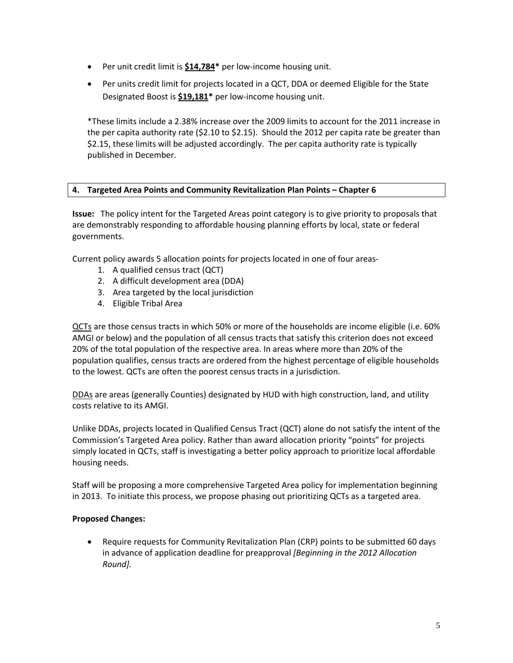- Per unit credit limit is **\$14,784\*** per low-income housing unit.
- Per units credit limit for projects located in a QCT, DDA or deemed Eligible for the State Designated Boost is **\$19,181\*** per low-income housing unit.

\*These limits include a 2.38% increase over the 2009 limits to account for the 2011 increase in the per capita authority rate (\$2.10 to \$2.15). Should the 2012 per capita rate be greater than \$2.15, these limits will be adjusted accordingly. The per capita authority rate is typically published in December.

# **4. Targeted Area Points and Community Revitalization Plan Points – Chapter 6**

**Issue:** The policy intent for the Targeted Areas point category is to give priority to proposals that are demonstrably responding to affordable housing planning efforts by local, state or federal governments.

Current policy awards 5 allocation points for projects located in one of four areas-

- 1. A qualified census tract (QCT)
- 2. A difficult development area (DDA)
- 3. Area targeted by the local jurisdiction
- 4. Eligible Tribal Area

QCTs are those census tracts in which 50% or more of the households are income eligible (i.e. 60% AMGI or below) and the population of all census tracts that satisfy this criterion does not exceed 20% of the total population of the respective area. In areas where more than 20% of the population qualifies, census tracts are ordered from the highest percentage of eligible households to the lowest. QCTs are often the poorest census tracts in a jurisdiction.

DDAs are areas (generally Counties) designated by HUD with high construction, land, and utility costs relative to its AMGI.

Unlike DDAs, projects located in Qualified Census Tract (QCT) alone do not satisfy the intent of the Commission's Targeted Area policy. Rather than award allocation priority "points" for projects simply located in QCTs, staff is investigating a better policy approach to prioritize local affordable housing needs.

Staff will be proposing a more comprehensive Targeted Area policy for implementation beginning in 2013. To initiate this process, we propose phasing out prioritizing QCTs as a targeted area.

## **Proposed Changes:**

• Require requests for Community Revitalization Plan (CRP) points to be submitted 60 days in advance of application deadline for preapproval *[Beginning in the 2012 Allocation Round].*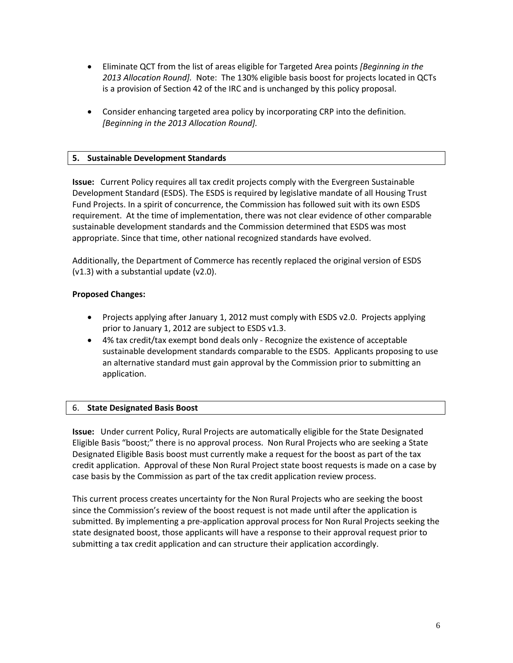- Eliminate QCT from the list of areas eligible for Targeted Area points *[Beginning in the 2013 Allocation Round].* Note: The 130% eligible basis boost for projects located in QCTs is a provision of Section 42 of the IRC and is unchanged by this policy proposal.
- Consider enhancing targeted area policy by incorporating CRP into the definition. *[Beginning in the 2013 Allocation Round].*

# **5. Sustainable Development Standards**

**Issue:** Current Policy requires all tax credit projects comply with the Evergreen Sustainable Development Standard (ESDS). The ESDS is required by legislative mandate of all Housing Trust Fund Projects. In a spirit of concurrence, the Commission has followed suit with its own ESDS requirement. At the time of implementation, there was not clear evidence of other comparable sustainable development standards and the Commission determined that ESDS was most appropriate. Since that time, other national recognized standards have evolved.

Additionally, the Department of Commerce has recently replaced the original version of ESDS (v1.3) with a substantial update (v2.0).

# **Proposed Changes:**

- Projects applying after January 1, 2012 must comply with ESDS v2.0. Projects applying prior to January 1, 2012 are subject to ESDS v1.3.
- 4% tax credit/tax exempt bond deals only Recognize the existence of acceptable sustainable development standards comparable to the ESDS. Applicants proposing to use an alternative standard must gain approval by the Commission prior to submitting an application.

# 6. **State Designated Basis Boost**

**Issue:** Under current Policy, Rural Projects are automatically eligible for the State Designated Eligible Basis "boost;" there is no approval process. Non Rural Projects who are seeking a State Designated Eligible Basis boost must currently make a request for the boost as part of the tax credit application. Approval of these Non Rural Project state boost requests is made on a case by case basis by the Commission as part of the tax credit application review process.

This current process creates uncertainty for the Non Rural Projects who are seeking the boost since the Commission's review of the boost request is not made until after the application is submitted. By implementing a pre-application approval process for Non Rural Projects seeking the state designated boost, those applicants will have a response to their approval request prior to submitting a tax credit application and can structure their application accordingly.